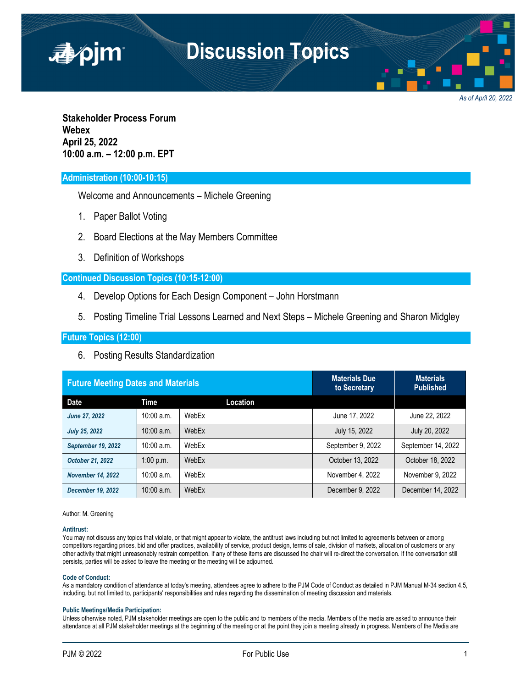

*As of April 20, 2022*

**Stakeholder Process Forum Webex April 25, 2022 10:00 a.m. – 12:00 p.m. EPT**

# **Administration (10:00-10:15)**

Welcome and Announcements – Michele Greening

- 1. Paper Ballot Voting
- 2. Board Elections at the May Members Committee
- 3. Definition of Workshops

## **Continued Discussion Topics (10:15-12:00)**

- 4. Develop Options for Each Design Component John Horstmann
- 5. Posting Timeline Trial Lessons Learned and Next Steps Michele Greening and Sharon Midgley

# **Future Topics (12:00)**

6. Posting Results Standardization

| <b>Future Meeting Dates and Materials</b> |              |          | <b>Materials Due</b><br>to Secretary | <b>Materials</b><br><b>Published</b> |
|-------------------------------------------|--------------|----------|--------------------------------------|--------------------------------------|
| Date                                      | Time         | Location |                                      |                                      |
| June 27, 2022                             | $10:00$ a.m. | WebEx    | June 17, 2022                        | June 22, 2022                        |
| <b>July 25, 2022</b>                      | $10:00$ a.m. | WebEx    | July 15, 2022                        | July 20, 2022                        |
| September 19, 2022                        | $10:00$ a.m. | WebEx    | September 9, 2022                    | September 14, 2022                   |
| October 21, 2022                          | $1:00$ p.m.  | WebEx    | October 13, 2022                     | October 18, 2022                     |
| <b>November 14, 2022</b>                  | 10:00 a.m.   | WebEx    | November 4, 2022                     | November 9, 2022                     |
| <b>December 19, 2022</b>                  | 10:00 a.m.   | WebEx    | December 9, 2022                     | December 14, 2022                    |

Author: M. Greening

### **Antitrust:**

You may not discuss any topics that violate, or that might appear to violate, the antitrust laws including but not limited to agreements between or among competitors regarding prices, bid and offer practices, availability of service, product design, terms of sale, division of markets, allocation of customers or any other activity that might unreasonably restrain competition. If any of these items are discussed the chair will re-direct the conversation. If the conversation still persists, parties will be asked to leave the meeting or the meeting will be adjourned.

#### **Code of Conduct:**

As a mandatory condition of attendance at today's meeting, attendees agree to adhere to the PJM Code of Conduct as detailed in PJM Manual M-34 section 4.5, including, but not limited to, participants' responsibilities and rules regarding the dissemination of meeting discussion and materials.

#### **Public Meetings/Media Participation:**

Unless otherwise noted, PJM stakeholder meetings are open to the public and to members of the media. Members of the media are asked to announce their attendance at all PJM stakeholder meetings at the beginning of the meeting or at the point they join a meeting already in progress. Members of the Media are